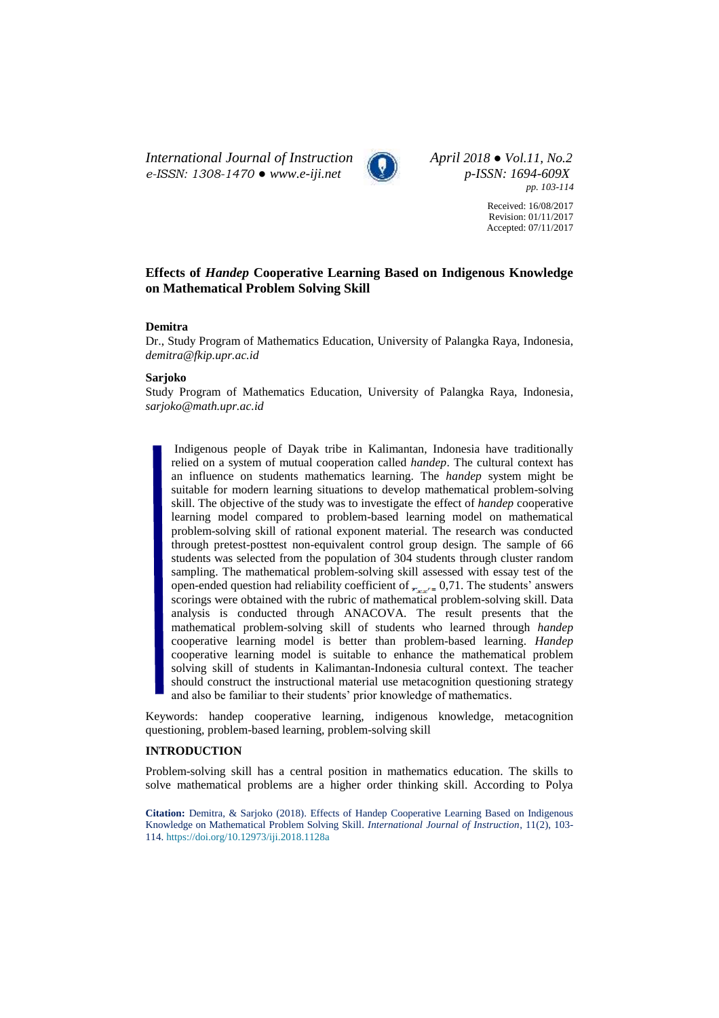*International Journal of Instruction April 2018 ● Vol.11, No.2 e-ISSN: 1308-1470 ● [www.e-iji.net](http://www.e-iji.net/) p-ISSN: 1694-609X*



*pp. 103-114*

Received: 16/08/2017 Revision: 01/11/2017 Accepted: 07/11/2017

# **Effects of** *Handep* **Cooperative Learning Based on Indigenous Knowledge on Mathematical Problem Solving Skill**

## **Demitra**

Dr., Study Program of Mathematics Education, University of Palangka Raya, Indonesia, *demitra@fkip.upr.ac.id*

### **Sarjoko**

Study Program of Mathematics Education, University of Palangka Raya, Indonesia, *sarjoko@math.upr.ac.id*

Indigenous people of Dayak tribe in Kalimantan, Indonesia have traditionally relied on a system of mutual cooperation called *handep*. The cultural context has an influence on students mathematics learning. The *handep* system might be suitable for modern learning situations to develop mathematical problem-solving skill. The objective of the study was to investigate the effect of *handep* cooperative learning model compared to problem-based learning model on mathematical problem-solving skill of rational exponent material. The research was conducted through pretest-posttest non-equivalent control group design. The sample of 66 students was selected from the population of 304 students through cluster random sampling. The mathematical problem-solving skill assessed with essay test of the open-ended question had reliability coefficient of  $r_{\text{max}} = 0.71$ . The students' answers scorings were obtained with the rubric of mathematical problem-solving skill. Data analysis is conducted through ANACOVA. The result presents that the mathematical problem-solving skill of students who learned through *handep* cooperative learning model is better than problem-based learning. *Handep* cooperative learning model is suitable to enhance the mathematical problem solving skill of students in Kalimantan-Indonesia cultural context. The teacher should construct the instructional material use metacognition questioning strategy and also be familiar to their students' prior knowledge of mathematics.

Keywords: handep cooperative learning, indigenous knowledge, metacognition questioning, problem-based learning, problem-solving skill

# **INTRODUCTION**

Problem-solving skill has a central position in mathematics education. The skills to solve mathematical problems are a higher order thinking skill. According to Polya

**Citation:** Demitra, & Sarjoko (2018). Effects of Handep Cooperative Learning Based on Indigenous Knowledge on Mathematical Problem Solving Skill. *International Journal of Instruction*, 11(2), 103- 114. <https://doi.org/10.12973/iji.2018.1128a>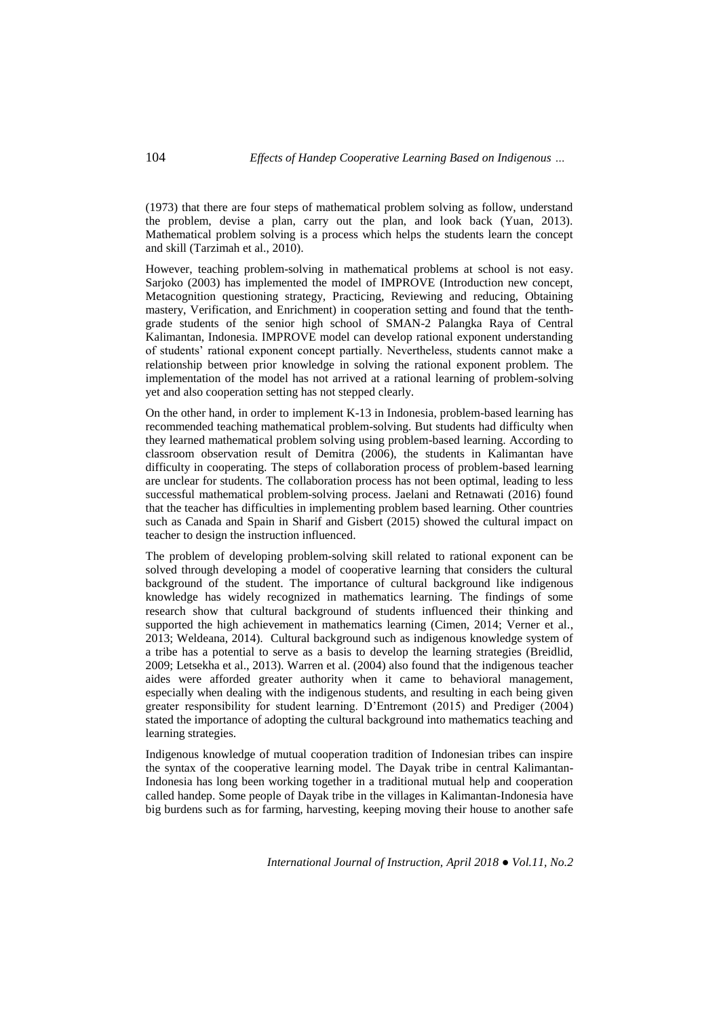(1973) that there are four steps of mathematical problem solving as follow, understand the problem, devise a plan, carry out the plan, and look back (Yuan, 2013). Mathematical problem solving is a process which helps the students learn the concept and skill (Tarzimah et al., 2010).

However, teaching problem-solving in mathematical problems at school is not easy. Sarjoko (2003) has implemented the model of IMPROVE (Introduction new concept, Metacognition questioning strategy, Practicing, Reviewing and reducing, Obtaining mastery, Verification, and Enrichment) in cooperation setting and found that the tenthgrade students of the senior high school of SMAN-2 Palangka Raya of Central Kalimantan, Indonesia. IMPROVE model can develop rational exponent understanding of students' rational exponent concept partially. Nevertheless, students cannot make a relationship between prior knowledge in solving the rational exponent problem. The implementation of the model has not arrived at a rational learning of problem-solving yet and also cooperation setting has not stepped clearly.

On the other hand, in order to implement K-13 in Indonesia, problem-based learning has recommended teaching mathematical problem-solving. But students had difficulty when they learned mathematical problem solving using problem-based learning. According to classroom observation result of Demitra (2006), the students in Kalimantan have difficulty in cooperating. The steps of collaboration process of problem-based learning are unclear for students. The collaboration process has not been optimal, leading to less successful mathematical problem-solving process. Jaelani and Retnawati (2016) found that the teacher has difficulties in implementing problem based learning. Other countries such as Canada and Spain in Sharif and Gisbert (2015) showed the cultural impact on teacher to design the instruction influenced.

The problem of developing problem-solving skill related to rational exponent can be solved through developing a model of cooperative learning that considers the cultural background of the student. The importance of cultural background like indigenous knowledge has widely recognized in mathematics learning. The findings of some research show that cultural background of students influenced their thinking and supported the high achievement in mathematics learning (Cimen, 2014; Verner et al., 2013; Weldeana, 2014). Cultural background such as indigenous knowledge system of a tribe has a potential to serve as a basis to develop the learning strategies (Breidlid, 2009; Letsekha et al., 2013). Warren et al. (2004) also found that the indigenous teacher aides were afforded greater authority when it came to behavioral management, especially when dealing with the indigenous students, and resulting in each being given greater responsibility for student learning. D'Entremont (2015) and Prediger (2004) stated the importance of adopting the cultural background into mathematics teaching and learning strategies.

Indigenous knowledge of mutual cooperation tradition of Indonesian tribes can inspire the syntax of the cooperative learning model. The Dayak tribe in central Kalimantan-Indonesia has long been working together in a traditional mutual help and cooperation called handep. Some people of Dayak tribe in the villages in Kalimantan-Indonesia have big burdens such as for farming, harvesting, keeping moving their house to another safe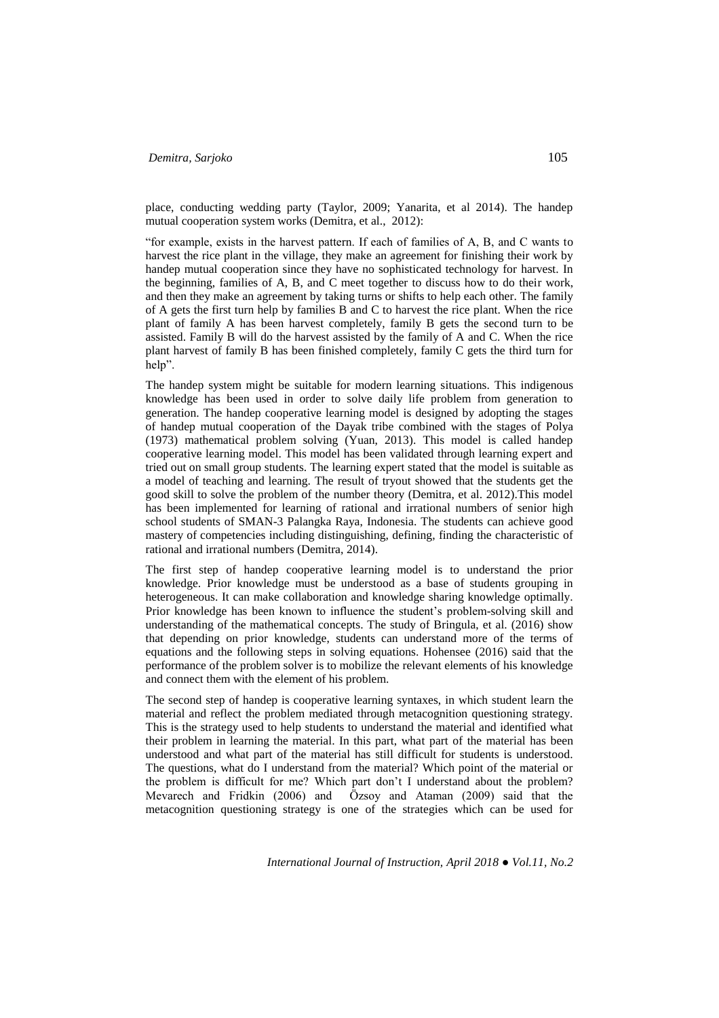## *Demitra, Sarjoko* 105

place, conducting wedding party (Taylor, 2009; Yanarita, et al 2014). The handep mutual cooperation system works (Demitra, et al., 2012):

"for example, exists in the harvest pattern. If each of families of A, B, and C wants to harvest the rice plant in the village, they make an agreement for finishing their work by handep mutual cooperation since they have no sophisticated technology for harvest. In the beginning, families of A, B, and C meet together to discuss how to do their work, and then they make an agreement by taking turns or shifts to help each other. The family of A gets the first turn help by families B and C to harvest the rice plant. When the rice plant of family A has been harvest completely, family B gets the second turn to be assisted. Family B will do the harvest assisted by the family of A and C. When the rice plant harvest of family B has been finished completely, family C gets the third turn for help".

The handep system might be suitable for modern learning situations. This indigenous knowledge has been used in order to solve daily life problem from generation to generation. The handep cooperative learning model is designed by adopting the stages of handep mutual cooperation of the Dayak tribe combined with the stages of Polya (1973) mathematical problem solving (Yuan, 2013). This model is called handep cooperative learning model. This model has been validated through learning expert and tried out on small group students. The learning expert stated that the model is suitable as a model of teaching and learning. The result of tryout showed that the students get the good skill to solve the problem of the number theory (Demitra, et al. 2012).This model has been implemented for learning of rational and irrational numbers of senior high school students of SMAN-3 Palangka Raya, Indonesia. The students can achieve good mastery of competencies including distinguishing, defining, finding the characteristic of rational and irrational numbers (Demitra, 2014).

The first step of handep cooperative learning model is to understand the prior knowledge. Prior knowledge must be understood as a base of students grouping in heterogeneous. It can make collaboration and knowledge sharing knowledge optimally. Prior knowledge has been known to influence the student's problem-solving skill and understanding of the mathematical concepts. The study of Bringula, et al. (2016) show that depending on prior knowledge, students can understand more of the terms of equations and the following steps in solving equations. Hohensee (2016) said that the performance of the problem solver is to mobilize the relevant elements of his knowledge and connect them with the element of his problem.

The second step of handep is cooperative learning syntaxes, in which student learn the material and reflect the problem mediated through metacognition questioning strategy. This is the strategy used to help students to understand the material and identified what their problem in learning the material. In this part, what part of the material has been understood and what part of the material has still difficult for students is understood. The questions, what do I understand from the material? Which point of the material or the problem is difficult for me? Which part don't I understand about the problem? Mevarech and Fridkin (2006) and Özsoy and Ataman (2009) said that the metacognition questioning strategy is one of the strategies which can be used for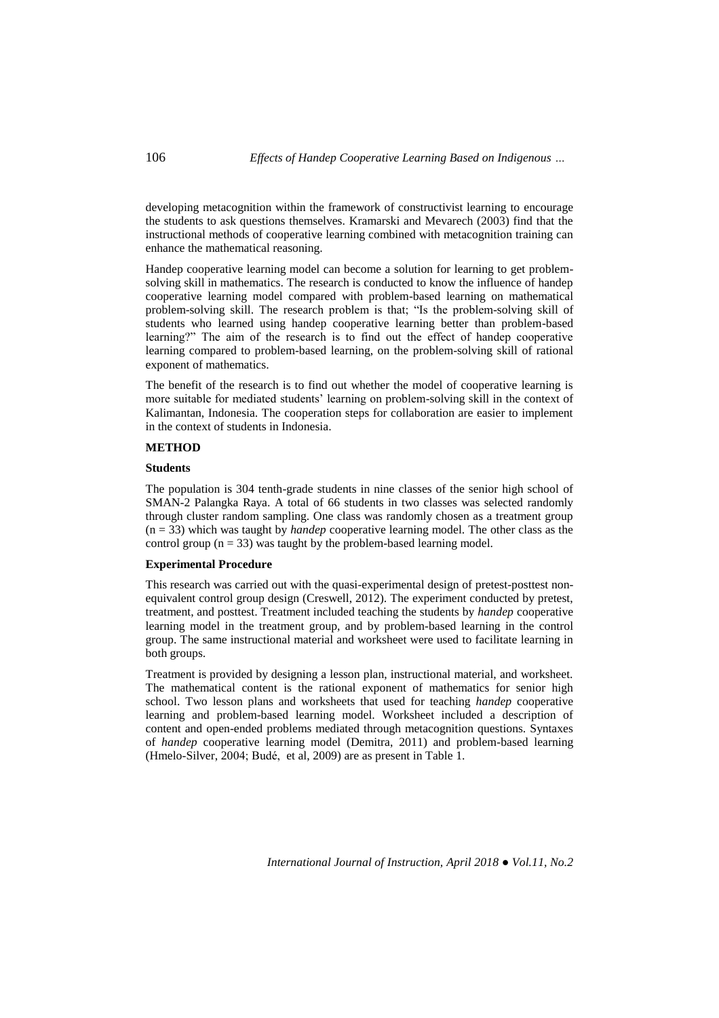developing metacognition within the framework of constructivist learning to encourage the students to ask questions themselves. Kramarski and Mevarech (2003) find that the instructional methods of cooperative learning combined with metacognition training can enhance the mathematical reasoning.

Handep cooperative learning model can become a solution for learning to get problemsolving skill in mathematics. The research is conducted to know the influence of handep cooperative learning model compared with problem-based learning on mathematical problem-solving skill. The research problem is that; "Is the problem-solving skill of students who learned using handep cooperative learning better than problem-based learning?" The aim of the research is to find out the effect of handep cooperative learning compared to problem-based learning, on the problem-solving skill of rational exponent of mathematics.

The benefit of the research is to find out whether the model of cooperative learning is more suitable for mediated students' learning on problem-solving skill in the context of Kalimantan, Indonesia. The cooperation steps for collaboration are easier to implement in the context of students in Indonesia.

## **METHOD**

## **Students**

The population is 304 tenth-grade students in nine classes of the senior high school of SMAN-2 Palangka Raya. A total of 66 students in two classes was selected randomly through cluster random sampling. One class was randomly chosen as a treatment group (n = 33) which was taught by *handep* cooperative learning model. The other class as the control group  $(n = 33)$  was taught by the problem-based learning model.

## **Experimental Procedure**

This research was carried out with the quasi-experimental design of pretest-posttest nonequivalent control group design (Creswell, 2012). The experiment conducted by pretest, treatment, and posttest. Treatment included teaching the students by *handep* cooperative learning model in the treatment group, and by problem-based learning in the control group. The same instructional material and worksheet were used to facilitate learning in both groups.

Treatment is provided by designing a lesson plan, instructional material, and worksheet. The mathematical content is the rational exponent of mathematics for senior high school. Two lesson plans and worksheets that used for teaching *handep* cooperative learning and problem-based learning model. Worksheet included a description of content and open-ended problems mediated through metacognition questions. Syntaxes of *handep* cooperative learning model (Demitra, 2011) and problem-based learning (Hmelo-Silver, 2004; Budé, et al, 2009) are as present in Table 1.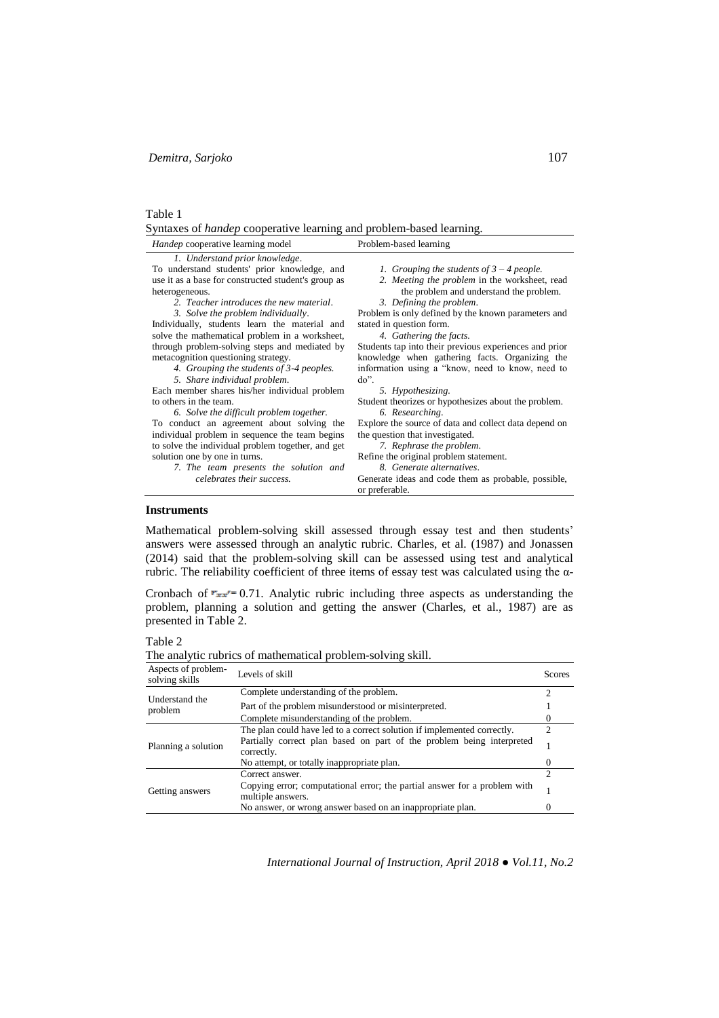### Table 1

÷,

Syntaxes of *handep* cooperative learning and problem-based learning.

| <i>Handep</i> cooperative learning model                                                                                                                                                                                                                                                                                                                                                                                                                                                                                                                                                                                                                                                                                                                                                                                                                                                          | Problem-based learning                                                                                                                                                                                                                                                                                                                                                                                                                                                                                                                                                                                                                                                                                                                                                                                                                |  |  |
|---------------------------------------------------------------------------------------------------------------------------------------------------------------------------------------------------------------------------------------------------------------------------------------------------------------------------------------------------------------------------------------------------------------------------------------------------------------------------------------------------------------------------------------------------------------------------------------------------------------------------------------------------------------------------------------------------------------------------------------------------------------------------------------------------------------------------------------------------------------------------------------------------|---------------------------------------------------------------------------------------------------------------------------------------------------------------------------------------------------------------------------------------------------------------------------------------------------------------------------------------------------------------------------------------------------------------------------------------------------------------------------------------------------------------------------------------------------------------------------------------------------------------------------------------------------------------------------------------------------------------------------------------------------------------------------------------------------------------------------------------|--|--|
| 1. Understand prior knowledge.<br>To understand students' prior knowledge, and<br>use it as a base for constructed student's group as<br>heterogeneous.<br>2. Teacher introduces the new material.<br>3. Solve the problem individually.<br>Individually, students learn the material and<br>solve the mathematical problem in a worksheet,<br>through problem-solving steps and mediated by<br>metacognition questioning strategy.<br>4. Grouping the students of 3-4 peoples.<br>5. Share individual problem.<br>Each member shares his/her individual problem<br>to others in the team.<br>6. Solve the difficult problem together.<br>To conduct an agreement about solving the<br>individual problem in sequence the team begins<br>to solve the individual problem together, and get<br>solution one by one in turns.<br>7. The team presents the solution and<br>celebrates their success. | 1. Grouping the students of $3 - 4$ people.<br>2. Meeting the problem in the worksheet, read<br>the problem and understand the problem.<br>3. Defining the problem.<br>Problem is only defined by the known parameters and<br>stated in question form.<br>4. Gathering the facts.<br>Students tap into their previous experiences and prior<br>knowledge when gathering facts. Organizing the<br>information using a "know, need to know, need to<br>$d_0$ ".<br>5. Hypothesizing.<br>Student theorizes or hypothesizes about the problem.<br>6. Researching.<br>Explore the source of data and collect data depend on<br>the question that investigated.<br>7. Rephrase the problem.<br>Refine the original problem statement.<br>8. Generate alternatives.<br>Generate ideas and code them as probable, possible,<br>or preferable. |  |  |
|                                                                                                                                                                                                                                                                                                                                                                                                                                                                                                                                                                                                                                                                                                                                                                                                                                                                                                   |                                                                                                                                                                                                                                                                                                                                                                                                                                                                                                                                                                                                                                                                                                                                                                                                                                       |  |  |

# **Instruments**

Mathematical problem-solving skill assessed through essay test and then students' answers were assessed through an analytic rubric. Charles, et al. (1987) and Jonassen (2014) said that the problem-solving skill can be assessed using test and analytical rubric. The reliability coefficient of three items of essay test was calculated using the α-

Cronbach of  $r_{xx} = 0.71$ . Analytic rubric including three aspects as understanding the problem, planning a solution and getting the answer (Charles, et al., 1987) are as presented in Table 2.

Table 2

The analytic rubrics of mathematical problem-solving skill.

| Aspects of problem-<br>solving skills                                                                                                                                                                                                                                                                                                                                                             | Levels of skill                                                           | <b>Scores</b> |
|---------------------------------------------------------------------------------------------------------------------------------------------------------------------------------------------------------------------------------------------------------------------------------------------------------------------------------------------------------------------------------------------------|---------------------------------------------------------------------------|---------------|
| Complete understanding of the problem.<br>Understand the<br>Part of the problem misunderstood or misinterpreted.<br>problem<br>Complete misunderstanding of the problem.<br>The plan could have led to a correct solution if implemented correctly.<br>Planning a solution<br>correctly.<br>No attempt, or totally inappropriate plan.<br>Correct answer.<br>Getting answers<br>multiple answers. | ာ                                                                         |               |
|                                                                                                                                                                                                                                                                                                                                                                                                   |                                                                           |               |
|                                                                                                                                                                                                                                                                                                                                                                                                   |                                                                           |               |
|                                                                                                                                                                                                                                                                                                                                                                                                   |                                                                           | ◠             |
|                                                                                                                                                                                                                                                                                                                                                                                                   | Partially correct plan based on part of the problem being interpreted     |               |
|                                                                                                                                                                                                                                                                                                                                                                                                   |                                                                           |               |
|                                                                                                                                                                                                                                                                                                                                                                                                   |                                                                           | C             |
|                                                                                                                                                                                                                                                                                                                                                                                                   | Copying error; computational error; the partial answer for a problem with |               |
|                                                                                                                                                                                                                                                                                                                                                                                                   | No answer, or wrong answer based on an inappropriate plan.                |               |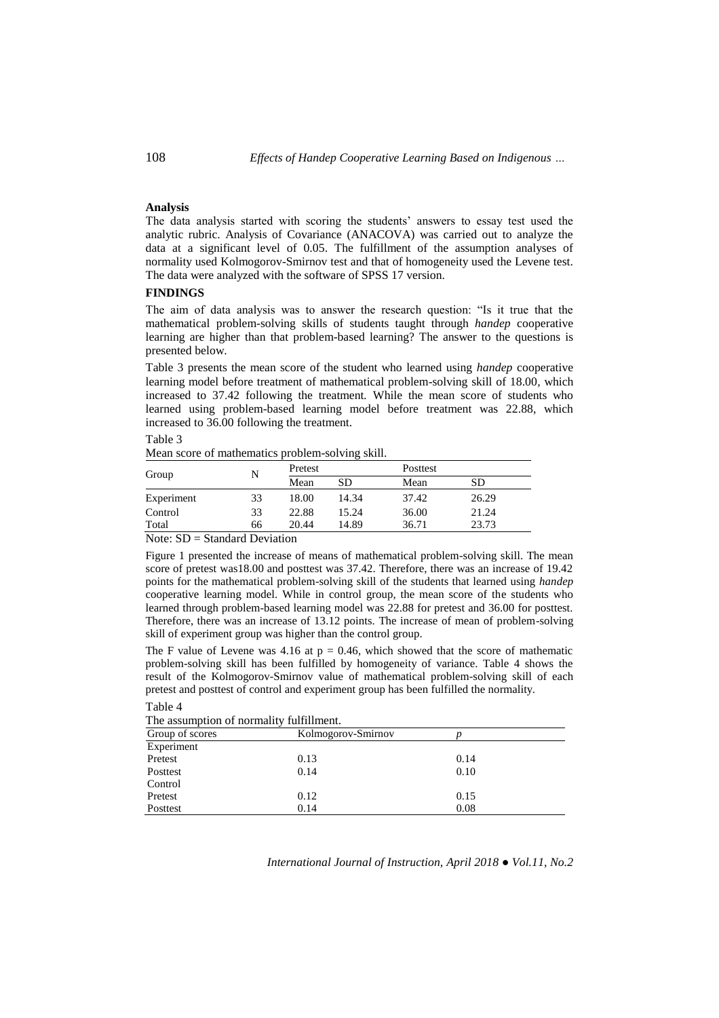# **Analysis**

The data analysis started with scoring the students' answers to essay test used the analytic rubric. Analysis of Covariance (ANACOVA) was carried out to analyze the data at a significant level of 0.05. The fulfillment of the assumption analyses of normality used Kolmogorov-Smirnov test and that of homogeneity used the Levene test. The data were analyzed with the software of SPSS 17 version.

#### **FINDINGS**

The aim of data analysis was to answer the research question: "Is it true that the mathematical problem-solving skills of students taught through *handep* cooperative learning are higher than that problem-based learning? The answer to the questions is presented below.

Table 3 presents the mean score of the student who learned using *handep* cooperative learning model before treatment of mathematical problem-solving skill of 18.00*,* which increased to 37.42 following the treatment*.* While the mean score of students who learned using problem-based learning model before treatment was 22.88, which increased to 36.00 following the treatment.

Table 3

Mean score of mathematics problem-solving skill.

| Group      |    | Pretest |       |       | Posttest |  |
|------------|----|---------|-------|-------|----------|--|
|            |    | Mean    | SD    | Mean  | SD       |  |
| Experiment | 33 | 18.00   | 14.34 | 37.42 | 26.29    |  |
| Control    | 33 | 22.88   | 15.24 | 36.00 | 21.24    |  |
| Total      | 66 | 20.44   | 14.89 | 36.71 | 23.73    |  |

Note: SD = Standard Deviation

Figure 1 presented the increase of means of mathematical problem-solving skill. The mean score of pretest was18.00 and posttest was 37.42. Therefore, there was an increase of 19.42 points for the mathematical problem-solving skill of the students that learned using *handep* cooperative learning model. While in control group, the mean score of the students who learned through problem-based learning model was 22.88 for pretest and 36.00 for posttest. Therefore, there was an increase of 13.12 points. The increase of mean of problem-solving skill of experiment group was higher than the control group.

The F value of Levene was 4.16 at  $p = 0.46$ , which showed that the score of mathematic problem-solving skill has been fulfilled by homogeneity of variance. Table 4 shows the result of the Kolmogorov-Smirnov value of mathematical problem-solving skill of each pretest and posttest of control and experiment group has been fulfilled the normality.

## Table 4

| The assumption of normality fulfillment. |                    |      |  |
|------------------------------------------|--------------------|------|--|
| Group of scores                          | Kolmogorov-Smirnov |      |  |
| Experiment                               |                    |      |  |
| Pretest                                  | 0.13               | 0.14 |  |
| Posttest                                 | 0.14               | 0.10 |  |
| Control                                  |                    |      |  |
| Pretest                                  | 0.12               | 0.15 |  |
| Posttest                                 | 0.14               | 0.08 |  |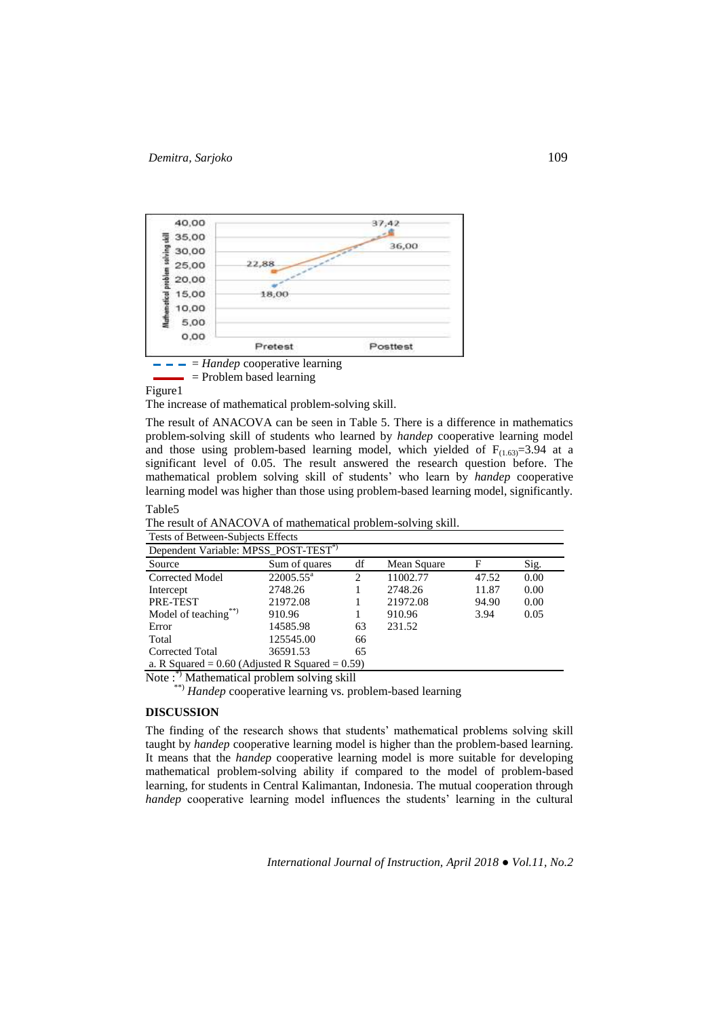

 = *Handep* cooperative learning = Problem based learning

Figure1

The increase of mathematical problem-solving skill.

The result of ANACOVA can be seen in Table 5. There is a difference in mathematics problem-solving skill of students who learned by *handep* cooperative learning model and those using problem-based learning model, which yielded of  $F_{(1.63)}=3.94$  at a significant level of 0.05. The result answered the research question before. The mathematical problem solving skill of students' who learn by *handep* cooperative learning model was higher than those using problem-based learning model, significantly. Table5

| The result of ANACOVA of mathematical problem-solving skill. |  |  |  |
|--------------------------------------------------------------|--|--|--|
|--------------------------------------------------------------|--|--|--|

| Tests of Between-Subjects Effects                         |                       |    |             |       |      |
|-----------------------------------------------------------|-----------------------|----|-------------|-------|------|
| Dependent Variable: MPSS_POST-TEST <sup>*)</sup>          |                       |    |             |       |      |
| Source                                                    | Sum of quares         | df | Mean Square | F     | Sig. |
| Corrected Model                                           | $22005.55^{\text{a}}$ | 2  | 11002.77    | 47.52 | 0.00 |
| Intercept                                                 | 2748.26               |    | 2748.26     | 11.87 | 0.00 |
| PRE-TEST                                                  | 21972.08              |    | 21972.08    | 94.90 | 0.00 |
| Model of teaching**)                                      | 910.96                |    | 910.96      | 3.94  | 0.05 |
| Error                                                     | 14585.98              | 63 | 231.52      |       |      |
| Total                                                     | 125545.00             | 66 |             |       |      |
| Corrected Total                                           | 36591.53              | 65 |             |       |      |
| a. R Squared = $0.60$ (Adjusted R Squared = $0.59$ )<br>÷ |                       |    |             |       |      |

Note :\*) Mathematical problem solving skill

\*) *Handep* cooperative learning vs. problem-based learning

## **DISCUSSION**

The finding of the research shows that students' mathematical problems solving skill taught by *handep* cooperative learning model is higher than the problem-based learning. It means that the *handep* cooperative learning model is more suitable for developing mathematical problem-solving ability if compared to the model of problem-based learning, for students in Central Kalimantan, Indonesia. The mutual cooperation through *handep* cooperative learning model influences the students' learning in the cultural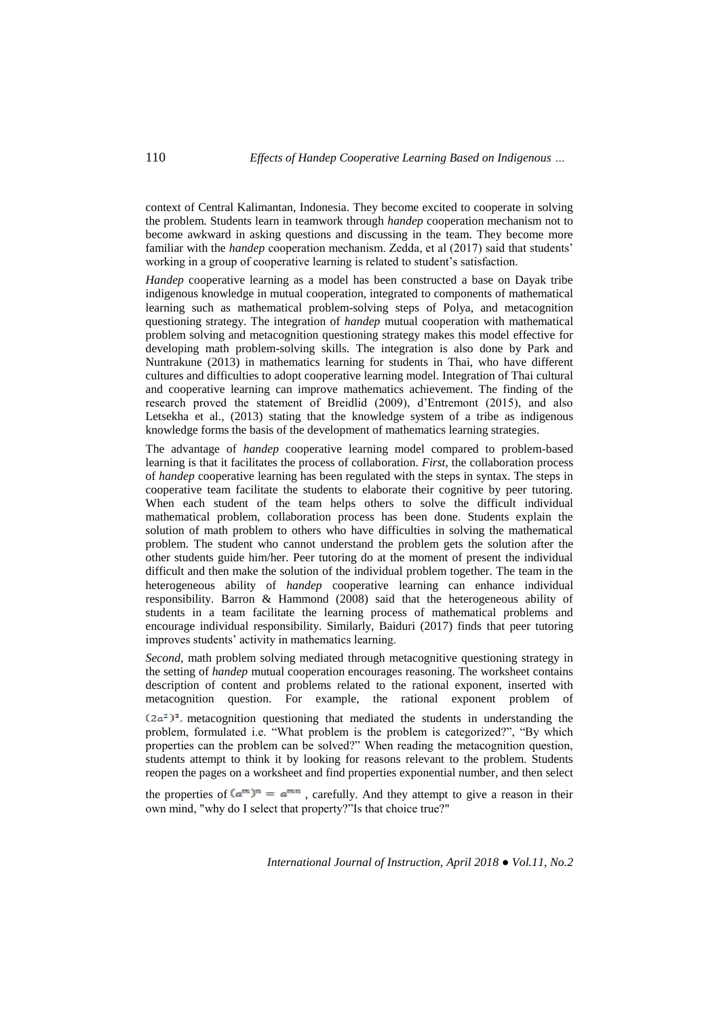context of Central Kalimantan, Indonesia. They become excited to cooperate in solving the problem. Students learn in teamwork through *handep* cooperation mechanism not to become awkward in asking questions and discussing in the team. They become more familiar with the *handep* cooperation mechanism. Zedda, et al (2017) said that students' working in a group of cooperative learning is related to student's satisfaction.

*Handep* cooperative learning as a model has been constructed a base on Dayak tribe indigenous knowledge in mutual cooperation, integrated to components of mathematical learning such as mathematical problem-solving steps of Polya, and metacognition questioning strategy. The integration of *handep* mutual cooperation with mathematical problem solving and metacognition questioning strategy makes this model effective for developing math problem-solving skills. The integration is also done by Park and Nuntrakune (2013) in mathematics learning for students in Thai, who have different cultures and difficulties to adopt cooperative learning model. Integration of Thai cultural and cooperative learning can improve mathematics achievement. The finding of the research proved the statement of Breidlid (2009), d'Entremont (2015), and also Letsekha et al., (2013) stating that the knowledge system of a tribe as indigenous knowledge forms the basis of the development of mathematics learning strategies.

The advantage of *handep* cooperative learning model compared to problem-based learning is that it facilitates the process of collaboration. *First*, the collaboration process of *handep* cooperative learning has been regulated with the steps in syntax. The steps in cooperative team facilitate the students to elaborate their cognitive by peer tutoring. When each student of the team helps others to solve the difficult individual mathematical problem, collaboration process has been done. Students explain the solution of math problem to others who have difficulties in solving the mathematical problem. The student who cannot understand the problem gets the solution after the other students guide him/her. Peer tutoring do at the moment of present the individual difficult and then make the solution of the individual problem together. The team in the heterogeneous ability of *handep* cooperative learning can enhance individual responsibility. Barron & Hammond (2008) said that the heterogeneous ability of students in a team facilitate the learning process of mathematical problems and encourage individual responsibility. Similarly, Baiduri (2017) finds that peer tutoring improves students' activity in mathematics learning.

*Second,* math problem solving mediated through metacognitive questioning strategy in the setting of *handep* mutual cooperation encourages reasoning. The worksheet contains description of content and problems related to the rational exponent, inserted with metacognition question. For example, the rational exponent problem of

 $(2a<sup>2</sup>)<sup>3</sup>$ , metacognition questioning that mediated the students in understanding the problem, formulated i.e. "What problem is the problem is categorized?", "By which properties can the problem can be solved?" When reading the metacognition question, students attempt to think it by looking for reasons relevant to the problem. Students reopen the pages on a worksheet and find properties exponential number, and then select

the properties of  $(a^m)^n = a^{mn}$ , carefully. And they attempt to give a reason in their own mind, "why do I select that property?"Is that choice true?"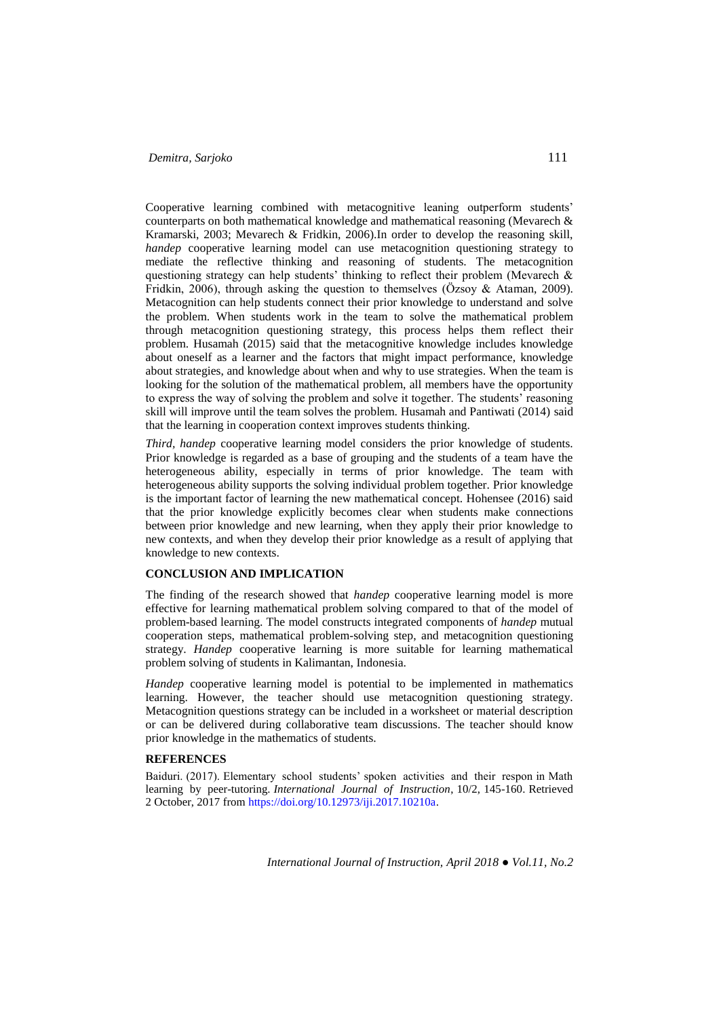## *Demitra, Sarjoko* 111

Cooperative learning combined with metacognitive leaning outperform students' counterparts on both mathematical knowledge and mathematical reasoning (Mevarech & Kramarski, 2003; Mevarech & Fridkin, 2006).In order to develop the reasoning skill, *handep* cooperative learning model can use metacognition questioning strategy to mediate the reflective thinking and reasoning of students. The metacognition questioning strategy can help students' thinking to reflect their problem (Mevarech  $\&$ Fridkin, 2006), through asking the question to themselves (Özsoy  $\&$  Ataman, 2009). Metacognition can help students connect their prior knowledge to understand and solve the problem. When students work in the team to solve the mathematical problem through metacognition questioning strategy, this process helps them reflect their problem. Husamah (2015) said that the metacognitive knowledge includes knowledge about oneself as a learner and the factors that might impact performance, knowledge about strategies, and knowledge about when and why to use strategies. When the team is looking for the solution of the mathematical problem, all members have the opportunity to express the way of solving the problem and solve it together. The students' reasoning skill will improve until the team solves the problem. Husamah and Pantiwati (2014) said that the learning in cooperation context improves students thinking.

*Third, handep* cooperative learning model considers the prior knowledge of students. Prior knowledge is regarded as a base of grouping and the students of a team have the heterogeneous ability, especially in terms of prior knowledge. The team with heterogeneous ability supports the solving individual problem together. Prior knowledge is the important factor of learning the new mathematical concept. Hohensee (2016) said that the prior knowledge explicitly becomes clear when students make connections between prior knowledge and new learning, when they apply their prior knowledge to new contexts, and when they develop their prior knowledge as a result of applying that knowledge to new contexts.

## **CONCLUSION AND IMPLICATION**

The finding of the research showed that *handep* cooperative learning model is more effective for learning mathematical problem solving compared to that of the model of problem-based learning. The model constructs integrated components of *handep* mutual cooperation steps, mathematical problem-solving step, and metacognition questioning strategy. *Handep* cooperative learning is more suitable for learning mathematical problem solving of students in Kalimantan, Indonesia.

*Handep* cooperative learning model is potential to be implemented in mathematics learning. However, the teacher should use metacognition questioning strategy. Metacognition questions strategy can be included in a worksheet or material description or can be delivered during collaborative team discussions. The teacher should know prior knowledge in the mathematics of students.

### **REFERENCES**

Baiduri. (2017). Elementary school students' spoken activities and their respon in Math learning by peer-tutoring. *International Journal of Instruction*, 10/2, 145-160. Retrieved 2 October, 2017 fro[m https://doi.org/10.12973/iji.2017.10210a.](https://doi.org/10.12973/iji.2017.10210a)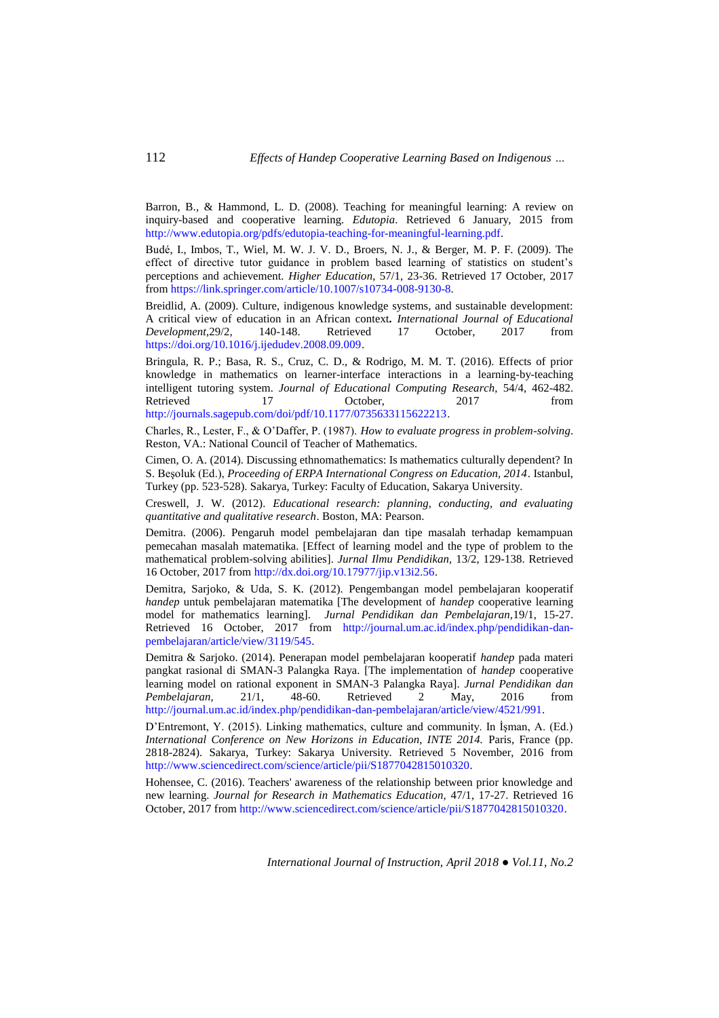Barron, B., & Hammond, L. D. (2008). Teaching for meaningful learning: A review on inquiry-based and cooperative learning. *Edutopia*. Retrieved 6 January, 2015 from [http://www.edutopia.org/pdfs/edutopia-teaching-for-meaningful-learning.pdf.](http://www.edutopia.org/pdfs/edutopia-teaching-for-meaningful-learning.pdf)

Budé, I., Imbos, T., Wiel, M. W. J. V. D., Broers, N. J., & Berger, M. P. F. (2009). The effect of directive tutor guidance in problem based learning of statistics on student's perceptions and achievement. *Higher Education*, 57/1, 23-36. Retrieved 17 October, 2017 fro[m https://link.springer.com/article/10.1007/s10734-008-9130-8.](https://link.springer.com/article/10.1007/s10734-008-9130-8)

Breidlid, A. (2009). Culture, indigenous knowledge systems, and sustainable development: A critical view of education in an African context*. International Journal of Educational Development*,29/2*,* 140-148. Retrieved 17 October, 2017 from [https://doi.org/10.1016/j.ijedudev.2008.09.009.](https://doi.org/10.1016/j.ijedudev.2008.09.009)

Bringula, R. P.; Basa, R. S., Cruz, C. D., & Rodrigo, M. M. T. (2016). Effects of prior knowledge in mathematics on learner-interface interactions in a learning-by-teaching intelligent tutoring system. *Journal of Educational Computing Research,* 54/4, 462-482. Retrieved 17 October, 2017 from [http://journals.sagepub.com/doi/pdf/10.1177/0735633115622213.](http://journals.sagepub.com/doi/pdf/10.1177/0735633115622213)

Charles, R., Lester, F., & O'Daffer, P. (1987). *How to evaluate progress in problem-solving*. Reston, VA.: National Council of Teacher of Mathematics.

Cimen, O. A. (2014). Discussing ethnomathematics: Is mathematics culturally dependent? In S. Beşoluk (Ed.), *Proceeding of ERPA International Congress on Education, 2014*. Istanbul, Turkey (pp. 523-528). Sakarya, Turkey: Faculty of Education, Sakarya University.

Creswell, J. W. (2012). *Educational research: planning, conducting, and evaluating quantitative and qualitative research*. Boston, MA: Pearson.

Demitra. (2006). Pengaruh model pembelajaran dan tipe masalah terhadap kemampuan pemecahan masalah matematika. [Effect of learning model and the type of problem to the mathematical problem-solving abilities]. *Jurnal Ilmu Pendidikan,* 13/2, 129-138. Retrieved 16 October, 2017 from [http://dx.doi.org/10.17977/jip.v13i2.56.](http://dx.doi.org/10.17977/jip.v13i2.56)

Demitra, Sarjoko, & Uda, S. K. (2012). Pengembangan model pembelajaran kooperatif *handep* untuk pembelajaran matematika [The development of *handep* cooperative learning model for mathematics learning]. *Jurnal Pendidikan dan Pembelajaran,*19/1, 15-27. Retrieved 16 October, 2017 from [http://journal.um.ac.id/index.php/pendidikan-dan](http://journal.um.ac.id/index.php/pendidikan-dan-pembelajaran/article/view/3119/545)[pembelajaran/article/view/3119/545.](http://journal.um.ac.id/index.php/pendidikan-dan-pembelajaran/article/view/3119/545)

Demitra & Sarjoko. (2014). Penerapan model pembelajaran kooperatif *handep* pada materi pangkat rasional di SMAN-3 Palangka Raya. [The implementation of *handep* cooperative learning model on rational exponent in SMAN-3 Palangka Raya]. *Jurnal Pendidikan dan Pembelajaran,* 21/1, 48-60. Retrieved 2 May, 2016 from [http://journal.um.ac.id/index.php/pendidikan-dan-pembelajaran/article/view/4521/991.](http://journal.um.ac.id/index.php/pendidikan-dan-pembelajaran/article/view/4521/991)

D'Entremont, Y. (2015). Linking mathematics, culture and community. In İşman, A. (Ed.) *International Conference on New Horizons in Education, INTE 2014.* Paris, France (pp. 2818-2824). Sakarya, Turkey: Sakarya University. Retrieved 5 November, 2016 from [http://www.sciencedirect.com/science/article/pii/S1877042815010320.](http://www.sciencedirect.com/science/article/pii/S1877042815010320)

Hohensee, C. (2016). Teachers' awareness of the relationship between prior knowledge and new learning. *Journal for Research in Mathematics Education,* 47/1, 17-27. Retrieved 16 October, 2017 from [http://www.sciencedirect.com/science/article/pii/S1877042815010320.](http://www.sciencedirect.com/science/article/pii/S1877042815010320)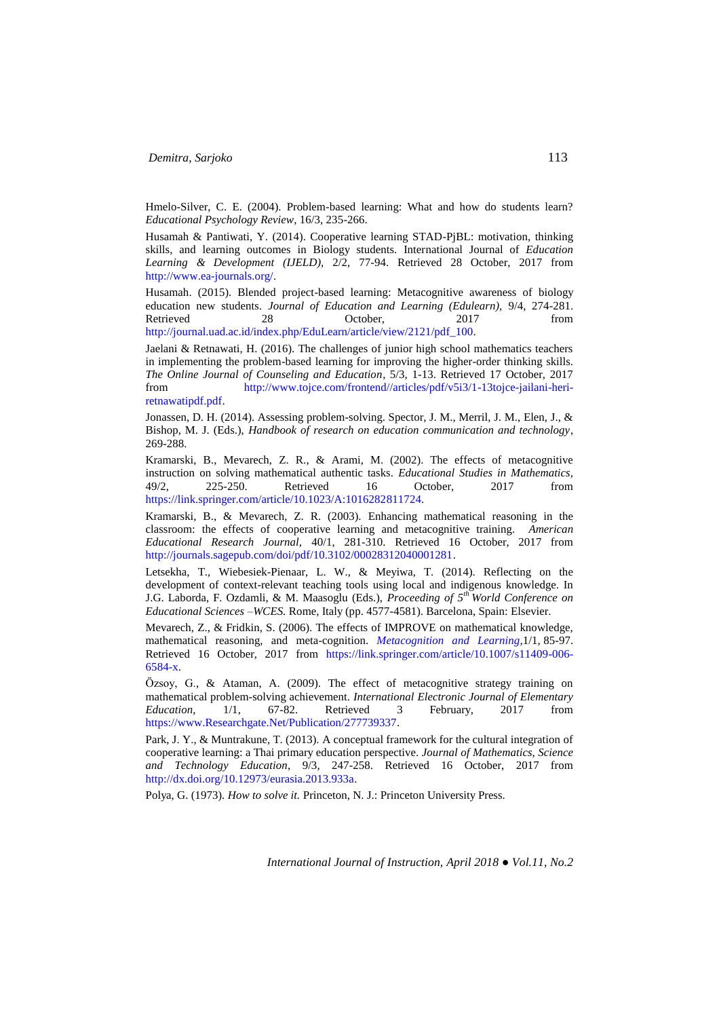Hmelo-Silver, C. E. (2004). Problem-based learning: What and how do students learn? *Educational Psychology Review*, 16/3, 235-266.

Husamah & Pantiwati, Y. (2014). Cooperative learning STAD-PjBL: motivation, thinking skills, and learning outcomes in Biology students. International Journal of *Education Learning & Development (IJELD),* 2/2, 77-94. Retrieved 28 October, 2017 from [http://www.ea-journals.org/.](http://www.ea-journals.org/)

Husamah. (2015). Blended project-based learning: Metacognitive awareness of biology education new students. *Journal of Education and Learning (Edulearn),* 9/4, 274-281. Retrieved 28 October, 2017 from [http://journal.uad.ac.id/index.php/EduLearn/article/view/2121/pdf\\_100.](http://journal.uad.ac.id/index.php/EduLearn/article/view/2121/pdf_100)

Jaelani & Retnawati, H. (2016). The challenges of junior high school mathematics teachers in implementing the problem-based learning for improving the higher-order thinking skills. *The Online Journal of Counseling and Education*, 5/3, 1-13. Retrieved 17 October, 2017 from [http://www.tojce.com/frontend//articles/pdf/v5i3/1-13tojce-jailani-heri](http://www.tojce.com/frontend/articles/pdf/v5i3/1-13tojce-jailani-heri-retnawatipdf.pdf)[retnawatipdf.pdf.](http://www.tojce.com/frontend/articles/pdf/v5i3/1-13tojce-jailani-heri-retnawatipdf.pdf)

Jonassen, D. H. (2014). Assessing problem-solving. Spector, J. M., Merril, J. M., Elen, J., & Bishop, M. J. (Eds.), *Handbook of research on education communication and technology*, 269-288.

Kramarski, B., Mevarech, Z. R., & Arami, M. (2002). The effects of metacognitive instruction on solving mathematical authentic tasks. *Educational Studies in Mathematics,*  49/2, 225-250. Retrieved 16 October, 2017 from [https://link.springer.com/article/10.1023/A:1016282811724.](https://link.springer.com/article/10.1023/A:1016282811724)

Kramarski, B., & Mevarech, Z. R. (2003). Enhancing mathematical reasoning in the classroom: the effects of cooperative learning and metacognitive training. *American Educational Research Journal,* 40/1, 281-310. Retrieved 16 October, 2017 from [http://journals.sagepub.com/doi/pdf/10.3102/00028312040001281.](http://journals.sagepub.com/doi/pdf/10.3102/00028312040001281)

Letsekha, T., Wiebesiek-Pienaar, L. W., & Meyiwa, T. (2014). Reflecting on the development of context-relevant teaching tools using local and indigenous knowledge. In J.G. Laborda, F. Ozdamli, & M. Maasoglu (Eds.), *Proceeding of 5th World Conference on Educational Sciences –WCES.* Rome, Italy (pp. 4577-4581). Barcelona, Spain: Elsevier.

Mevarech, Z., & Fridkin, S. (2006). The effects of IMPROVE on mathematical knowledge, mathematical reasoning, and meta-cognition. *[Metacognition and Learning,](http://link.springer.com/journal/11409)*1/1, 85-97. Retrieved 16 October, 2017 from [https://link.springer.com/article/10.1007/s11409-006-](https://link.springer.com/article/10.1007/s11409-006-6584-x) [6584-x.](https://link.springer.com/article/10.1007/s11409-006-6584-x) 

Özsoy, G., & Ataman, A. (2009). The effect of metacognitive strategy training on mathematical problem-solving achievement. *International Electronic Journal of Elementary Education,* 1/1, 67-82. Retrieved 3 February, 2017 from [https://www.Researchgate.Net/Publication/277739337.](https://www.researchgate.net/Publication/277739337)

Park, J. Y., & Muntrakune, T. (2013). A conceptual framework for the cultural integration of cooperative learning: a Thai primary education perspective. *Journal of Mathematics, Science and Technology Education*, 9/3, 247-258. Retrieved 16 October, 2017 from [http://dx.doi.org/10.12973/eurasia.2013.933a.](http://dx.doi.org/10.12973/eurasia.2013.933a)

Polya, G. (1973). *How to solve it.* Princeton, N. J.: Princeton University Press.